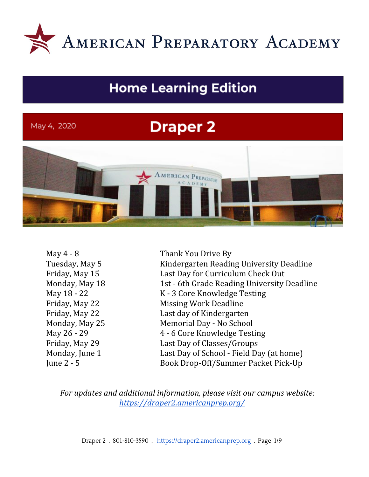

## **Home Learning Edition**

## May 4, 2020

# **Draper 2**



May 4 - 8 Thank You Drive By Tuesday, May 5 Kindergarten Reading University Deadline Friday, May 15 Last Day for Curriculum Check Out Monday, May 18 1st - 6th Grade Reading University Deadline May 18 - 22 K - 3 Core Knowledge Testing Friday, May 22 Missing Work Deadline Friday, May 22 Last day of Kindergarten Monday, May 25 Memorial Day - No School May 26 - 29 4 - 6 Core Knowledge Testing Friday, May 29 Last Day of Classes/Groups Monday, June 1 Last Day of School - Field Day (at home) June 2 - 5 Book Drop-Off/Summer Packet Pick-Up

*For updates and additional information, please visit our campus website: <https://draper2.americanprep.org/>*

Draper 2 . 801-810-3590 . [https://draper2.americanprep.org](https://draper2.americanprep.org/) . Page 1/9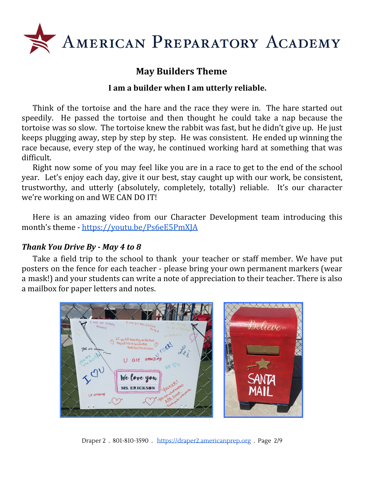

## **May Builders Theme**

#### **I am a builder when I am utterly reliable.**

Think of the tortoise and the hare and the race they were in. The hare started out speedily. He passed the tortoise and then thought he could take a nap because the tortoise was so slow. The tortoise knew the rabbit was fast, but he didn't give up. He just keeps plugging away, step by step by step. He was consistent. He ended up winning the race because, every step of the way, he continued working hard at something that was difficult.

Right now some of you may feel like you are in a race to get to the end of the school year. Let's enjoy each day, give it our best, stay caught up with our work, be consistent, trustworthy, and utterly (absolutely, completely, totally) reliable. It's our character we're working on and WE CAN DO IT!

Here is an amazing video from our Character Development team introducing this month's theme - <https://youtu.be/Ps6eE5PmXJA>

#### *Thank You Drive By - May 4 to 8*

Take a field trip to the school to thank your teacher or staff member. We have put posters on the fence for each teacher - please bring your own permanent markers (wear a mask!) and your students can write a note of appreciation to their teacher. There is also a mailbox for paper letters and notes.



Draper 2 . 801-810-3590 . [https://draper2.americanprep.org](https://draper2.americanprep.org/) . Page 2/9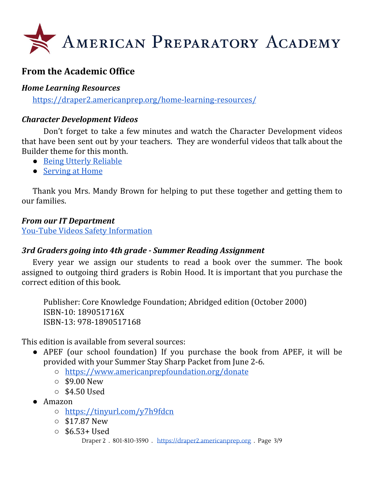

## **From the Academic Office**

## *Home Learning Resources*

<https://draper2.americanprep.org/home-learning-resources/>

## *Character Development Videos*

Don't forget to take a few minutes and watch the Character Development videos that have been sent out by your teachers. They are wonderful videos that talk about the Builder theme for this month.

- Being Utterly [Reliable](https://youtu.be/Ps6eE5PmXJA)
- [Serving](https://youtu.be/9Jb6QuISMN4) at Home

Thank you Mrs. Mandy Brown for helping to put these together and getting them to our families.

## *From our IT Department*

You-Tube Videos Safety [Information](https://blog.americanprep.org/blog/it-corner?utm_source=hs_email&utm_medium=email&utm_content=87318977&_hsenc=p2ANqtz-8xW3pNBnoa8Aj6qFAz6QVErKFB2O11vzR9cSKid6qOoHO7tHrUcM_T8uh3t673JfkdAz5FlSg3f9aVPtDM68M4oedfMQ&_hsmi=87318977)

## *3rd Graders going into 4th grade - Summer Reading Assignment*

Every year we assign our students to read a book over the summer. The book assigned to outgoing third graders is Robin Hood. It is important that you purchase the correct edition of this book.

Publisher: Core Knowledge Foundation; Abridged edition (October 2000) ISBN-10: 189051716X ISBN-13: 978-1890517168

This edition is available from several sources:

- APEF (our school foundation) If you purchase the book from APEF, it will be provided with your Summer Stay Sharp Packet from June 2-6.
	- <https://www.americanprepfoundation.org/donate>
	- $\circ$  \$9.00 New
	- $\circ$  \$4.50 Used
- Amazon
	- <https://tinyurl.com/y7h9fdcn>
	- \$17.87 New
	- $\circ$  \$6.53+ Used

Draper 2 . 801-810-3590 . [https://draper2.americanprep.org](https://draper2.americanprep.org/) . Page 3/9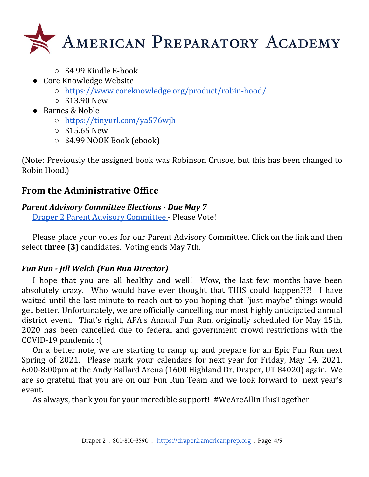

- \$4.99 Kindle E-book
- Core Knowledge Website
	- <https://www.coreknowledge.org/product/robin-hood/>
	- $\circ$  \$13.90 New
- Barnes & Noble
	- <https://tinyurl.com/ya576wjh>
	- $\circ$  \$15.65 New
	- \$4.99 NOOK Book (ebook)

(Note: Previously the assigned book was Robinson Crusoe, but this has been changed to Robin Hood.)

## **From the Administrative Office**

## *Parent Advisory Committee Elections - Due May 7*

Draper 2 Parent Advisory [Committee](https://americanprep.sjc1.qualtrics.com/jfe/form/SV_6z0NTTuzV6T5Zjf) - Please Vote!

Please place your votes for our Parent Advisory Committee. Click on the link and then select **three (3)** candidates. Voting ends May 7th.

## *Fun Run - Jill Welch (Fun Run Director)*

I hope that you are all healthy and well! Wow, the last few months have been absolutely crazy. Who would have ever thought that THIS could happen?!?! I have waited until the last minute to reach out to you hoping that "just maybe" things would get better. Unfortunately, we are officially cancelling our most highly anticipated annual district event. That's right, APA's Annual Fun Run, originally scheduled for May 15th, 2020 has been cancelled due to federal and government crowd restrictions with the COVID-19 pandemic :(

On a better note, we are starting to ramp up and prepare for an Epic Fun Run next Spring of 2021. Please mark your calendars for next year for Friday, May 14, 2021, 6:00-8:00pm at the Andy Ballard Arena (1600 Highland Dr, Draper, UT 84020) again. We are so grateful that you are on our Fun Run Team and we look forward to next year's event.

As always, thank you for your incredible support! #WeAreAllInThisTogether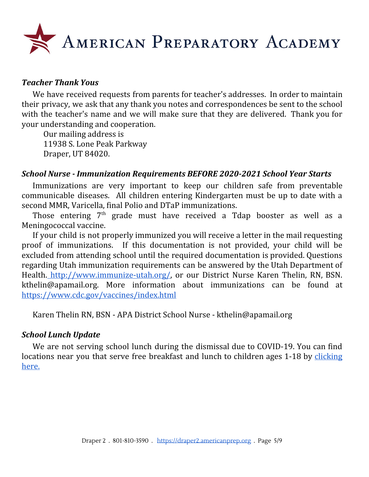

#### *Teacher Thank Yous*

We have received requests from parents for teacher's addresses. In order to maintain their privacy, we ask that any thank you notes and correspondences be sent to the school with the teacher's name and we will make sure that they are delivered. Thank you for your understanding and cooperation.

Our mailing address is 11938 S. Lone Peak Parkway Draper, UT 84020.

#### *School Nurse - Immunization Requirements BEFORE 2020-2021 School Year Starts*

Immunizations are very important to keep our children safe from preventable communicable diseases. All children entering Kindergarten must be up to date with a second MMR, Varicella, final Polio and DTaP immunizations.

Those entering 7<sup>th</sup> grade must have received a Tdap booster as well as a Meningococcal vaccine.

If your child is not properly immunized you will receive a letter in the mail requesting proof of immunizations. If this documentation is not provided, your child will be excluded from attending school until the required documentation is provided. Questions regarding Utah immunization requirements can be answered by the Utah Department of Health. [http://www.immunize-utah.org/,](http://www.immunize-utah.org/) or our District Nurse Karen Thelin, RN, BSN. kthelin@apamail.org. More information about immunizations can be found a[t](https://www.cdc.gov/vaccines/index.html) <https://www.cdc.gov/vaccines/index.html>

Karen Thelin RN, BSN - APA District School Nurse - kthelin@apamail.org

#### *School Lunch Update*

We are not serving school lunch during the dismissal due to COVID-19. You can find locations near you that serve free breakfast and lunch to children ages 1-18 by [clicking](https://docs.google.com/document/d/1ipz9D2z5zWqOHSOToIYFT0FH7RpvSteVtLR9neRQq-E/edit?usp=sharing) [here.](https://docs.google.com/document/d/1ipz9D2z5zWqOHSOToIYFT0FH7RpvSteVtLR9neRQq-E/edit?usp=sharing)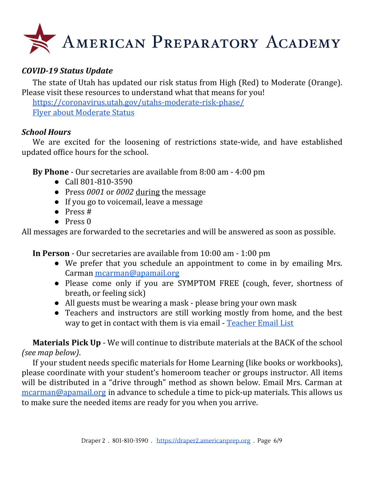

## *COVID-19 Status Update*

The state of Utah has updated our risk status from High (Red) to Moderate (Orange). Please visit these resources to understand what that means for you!

<https://coronavirus.utah.gov/utahs-moderate-risk-phase/> Flyer about [Moderate](https://coronavirus-download.utah.gov/business/Utahs_Moderate_Risk_Phase_Flyer_English.pdf) Status

#### *School Hours*

We are excited for the loosening of restrictions state-wide, and have established updated office hours for the school.

**By Phone** - Our secretaries are available from 8:00 am - 4:00 pm

- Call 801-810-3590
- Press *0001* or *0002* during the message
- If you go to voicemail, leave a message
- Press #
- Press 0

All messages are forwarded to the secretaries and will be answered as soon as possible.

**In Person** - Our secretaries are available from 10:00 am - 1:00 pm

- We prefer that you schedule an appointment to come in by emailing Mrs. Carman [mcarman@apamail.org](mailto:mcarman@apamail.org)
- Please come only if you are SYMPTOM FREE (cough, fever, shortness of breath, or feeling sick)
- All guests must be wearing a mask please bring your own mask
- Teachers and instructors are still working mostly from home, and the best way to get in contact with them is via email - [Teacher](https://draper2.americanprep.org/wp-content/uploads/sites/3/2020/03/D2-Staff-List-2019_2020.pdf) Email List

**Materials Pick Up** - We will continue to distribute materials at the BACK of the school *(see map below)*.

If your student needs specific materials for Home Learning (like books or workbooks), please coordinate with your student's homeroom teacher or groups instructor. All items will be distributed in a "drive through" method as shown below. Email Mrs. Carman at [mcarman@apamail.org](mailto:mcarman@apamail.org) in advance to schedule a time to pick-up materials. This allows us to make sure the needed items are ready for you when you arrive.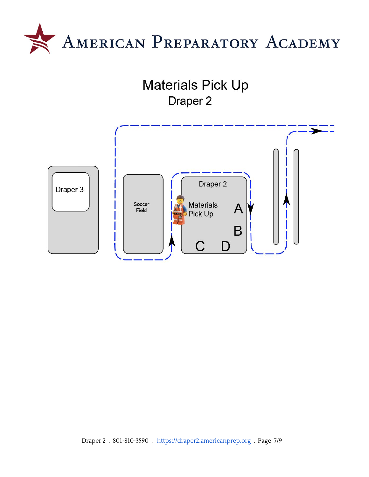



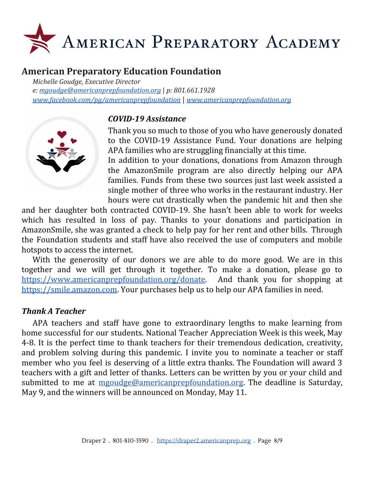

## **American Preparatory Education Foundation**

*Michelle Goudge, Executive Director e: [mgoudge@americanprepfoundation.org](mailto:mgoudge@americanprepfoundation.org)* | *p: 801.661.1928 [www.facebook.com/pg/americanprepfoundation](http://www.facebook.com/pg/americanprepfoundation)* | *[www.americanprepfoundation.org](http://www.americanprepfoundation.org/)*



#### *COVID-19 Assistance*

Thank you so much to those of you who have generously donated to the COVID-19 Assistance Fund. Your donations are helping APA families who are struggling financially at this time.

In addition to your donations, donations from Amazon through the AmazonSmile program are also directly helping our APA families. Funds from these two sources just last week assisted a single mother of three who works in the restaurant industry. Her hours were cut drastically when the pandemic hit and then she

and her daughter both contracted COVID-19. She hasn't been able to work for weeks which has resulted in loss of pay. Thanks to your donations and participation in AmazonSmile, she was granted a check to help pay for her rent and other bills. Through the Foundation students and staff have also received the use of computers and mobile hotspots to access the internet.

With the generosity of our donors we are able to do more good. We are in this together and we will get through it together. To make a donation, please go to <https://www.americanprepfoundation.org/donate>. And thank you for shopping at [https://smile.amazon.com](https://smile.amazon.com/). Your purchases help us to help our APA families in need.

#### *Thank A Teacher*

APA teachers and staff have gone to extraordinary lengths to make learning from home successful for our students. National Teacher Appreciation Week is this week, May 4-8. It is the perfect time to thank teachers for their tremendous dedication, creativity, and problem solving during this pandemic. I invite you to nominate a teacher or staff member who you feel is deserving of a little extra thanks. The Foundation will award 3 teachers with a gift and letter of thanks. Letters can be written by you or your child and submitted to me at [mgoudge@americanprepfoundation.org.](mailto:mgoudge@americanprepfoundation.org) The deadline is Saturday, May 9, and the winners will be announced on Monday, May 11.